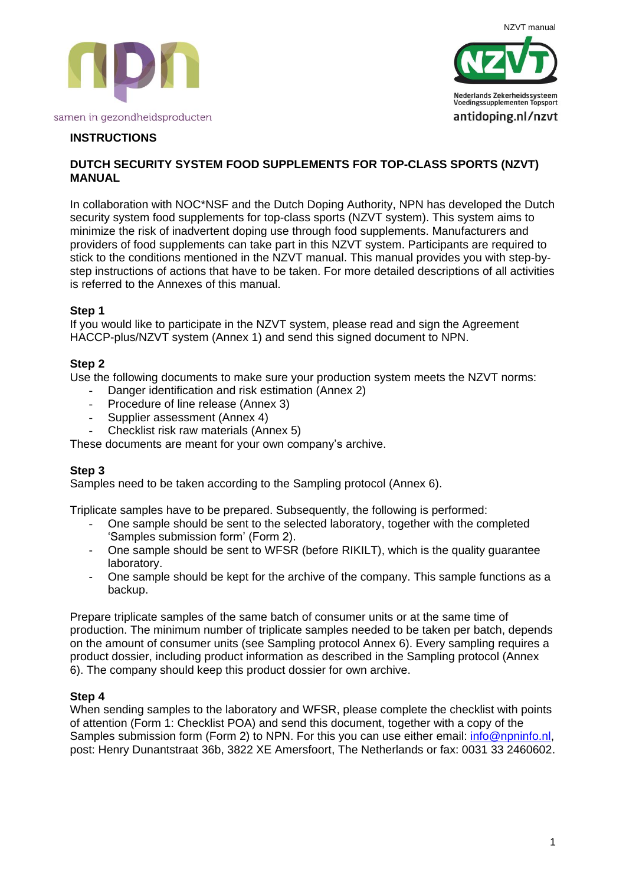



# **INSTRUCTIONS**

# **DUTCH SECURITY SYSTEM FOOD SUPPLEMENTS FOR TOP-CLASS SPORTS (NZVT) MANUAL**

In collaboration with NOC\*NSF and the Dutch Doping Authority, NPN has developed the Dutch security system food supplements for top-class sports (NZVT system). This system aims to minimize the risk of inadvertent doping use through food supplements. Manufacturers and providers of food supplements can take part in this NZVT system. Participants are required to stick to the conditions mentioned in the NZVT manual. This manual provides you with step-bystep instructions of actions that have to be taken. For more detailed descriptions of all activities is referred to the Annexes of this manual.

# **Step 1**

If you would like to participate in the NZVT system, please read and sign the Agreement HACCP-plus/NZVT system (Annex 1) and send this signed document to NPN.

#### **Step 2**

Use the following documents to make sure your production system meets the NZVT norms:

- Danger identification and risk estimation (Annex 2)
- Procedure of line release (Annex 3)
- Supplier assessment (Annex 4)
- Checklist risk raw materials (Annex 5)

These documents are meant for your own company's archive.

# **Step 3**

Samples need to be taken according to the Sampling protocol (Annex 6).

Triplicate samples have to be prepared. Subsequently, the following is performed:

- One sample should be sent to the selected laboratory, together with the completed 'Samples submission form' (Form 2).
- One sample should be sent to WFSR (before RIKILT), which is the quality guarantee laboratory.
- One sample should be kept for the archive of the company. This sample functions as a backup.

Prepare triplicate samples of the same batch of consumer units or at the same time of production. The minimum number of triplicate samples needed to be taken per batch, depends on the amount of consumer units (see Sampling protocol Annex 6). Every sampling requires a product dossier, including product information as described in the Sampling protocol (Annex 6). The company should keep this product dossier for own archive.

# **Step 4**

When sending samples to the laboratory and WFSR, please complete the checklist with points of attention (Form 1: Checklist POA) and send this document, together with a copy of the Samples submission form (Form 2) to NPN. For this you can use either email: [info@npninfo.nl,](mailto:info@npninfo.nl) post: Henry Dunantstraat 36b, 3822 XE Amersfoort, The Netherlands or fax: 0031 33 2460602.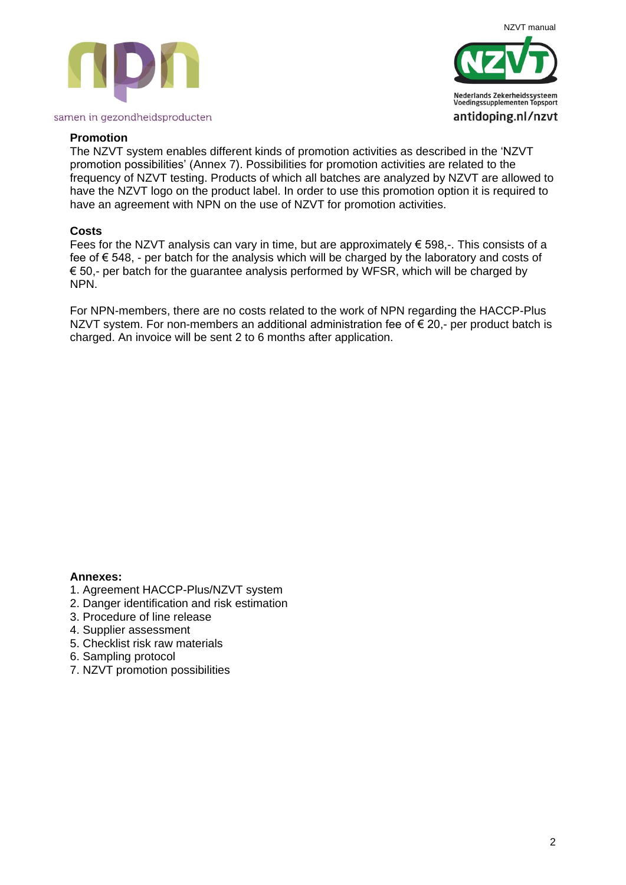



#### **Promotion**

The NZVT system enables different kinds of promotion activities as described in the 'NZVT promotion possibilities' (Annex 7). Possibilities for promotion activities are related to the frequency of NZVT testing. Products of which all batches are analyzed by NZVT are allowed to have the NZVT logo on the product label. In order to use this promotion option it is required to have an agreement with NPN on the use of NZVT for promotion activities.

#### **Costs**

Fees for the NZVT analysis can vary in time, but are approximately  $\epsilon$  598,-. This consists of a fee of € 548, - per batch for the analysis which will be charged by the laboratory and costs of  $\epsilon$  50,- per batch for the quarantee analysis performed by WFSR, which will be charged by NPN.

For NPN-members, there are no costs related to the work of NPN regarding the HACCP-Plus NZVT system. For non-members an additional administration fee of  $\epsilon$  20,- per product batch is charged. An invoice will be sent 2 to 6 months after application.

#### **Annexes:**

- 1. Agreement HACCP-Plus/NZVT system
- 2. Danger identification and risk estimation
- 3. Procedure of line release
- 4. Supplier assessment
- 5. Checklist risk raw materials
- 6. Sampling protocol
- 7. NZVT promotion possibilities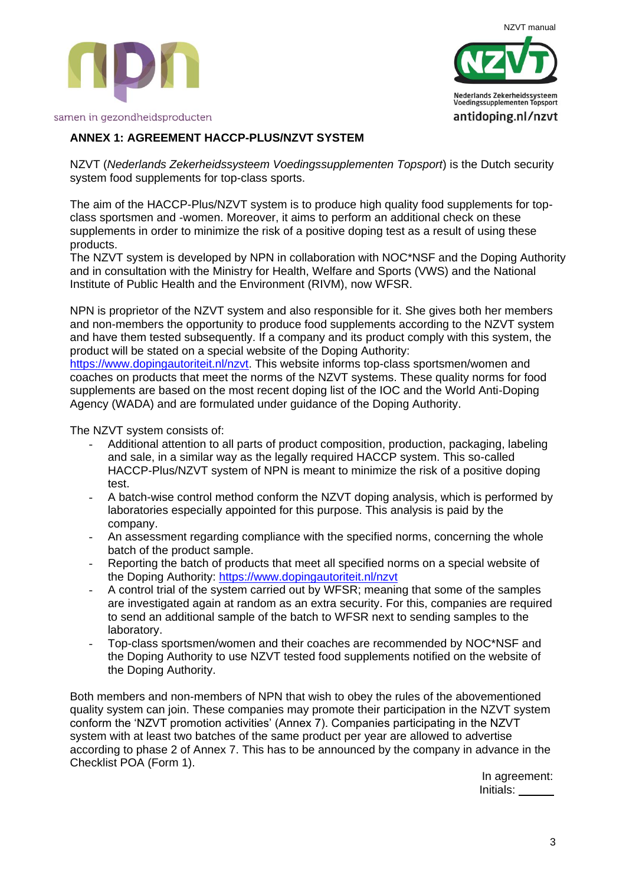



# NZVT manual Nederlands Zekerheidssysteem **Voedingssupplementen Topsport** antidoping.nl/nzvt

# **ANNEX 1: AGREEMENT HACCP-PLUS/NZVT SYSTEM**

NZVT (*Nederlands Zekerheidssysteem Voedingssupplementen Topsport*) is the Dutch security system food supplements for top-class sports.

The aim of the HACCP-Plus/NZVT system is to produce high quality food supplements for topclass sportsmen and -women. Moreover, it aims to perform an additional check on these supplements in order to minimize the risk of a positive doping test as a result of using these products.

The NZVT system is developed by NPN in collaboration with NOC\*NSF and the Doping Authority and in consultation with the Ministry for Health, Welfare and Sports (VWS) and the National Institute of Public Health and the Environment (RIVM), now WFSR.

NPN is proprietor of the NZVT system and also responsible for it. She gives both her members and non-members the opportunity to produce food supplements according to the NZVT system and have them tested subsequently. If a company and its product comply with this system, the product will be stated on a special website of the Doping Authority:

[https://www.dopingautoriteit.nl/nzvt.](https://www.dopingautoriteit.nl/nzvt) This website informs top-class sportsmen/women and coaches on products that meet the norms of the NZVT systems. These quality norms for food supplements are based on the most recent doping list of the IOC and the World Anti-Doping Agency (WADA) and are formulated under guidance of the Doping Authority.

The NZVT system consists of:

- Additional attention to all parts of product composition, production, packaging, labeling and sale, in a similar way as the legally required HACCP system. This so-called HACCP-Plus/NZVT system of NPN is meant to minimize the risk of a positive doping test.
- A batch-wise control method conform the NZVT doping analysis, which is performed by laboratories especially appointed for this purpose. This analysis is paid by the company.
- An assessment regarding compliance with the specified norms, concerning the whole batch of the product sample.
- Reporting the batch of products that meet all specified norms on a special website of the Doping Authority:<https://www.dopingautoriteit.nl/nzvt>
- A control trial of the system carried out by WFSR; meaning that some of the samples are investigated again at random as an extra security. For this, companies are required to send an additional sample of the batch to WFSR next to sending samples to the laboratory.
- Top-class sportsmen/women and their coaches are recommended by NOC\*NSF and the Doping Authority to use NZVT tested food supplements notified on the website of the Doping Authority.

Both members and non-members of NPN that wish to obey the rules of the abovementioned quality system can join. These companies may promote their participation in the NZVT system conform the 'NZVT promotion activities' (Annex 7). Companies participating in the NZVT system with at least two batches of the same product per year are allowed to advertise according to phase 2 of Annex 7. This has to be announced by the company in advance in the Checklist POA (Form 1).

In agreement: Initials: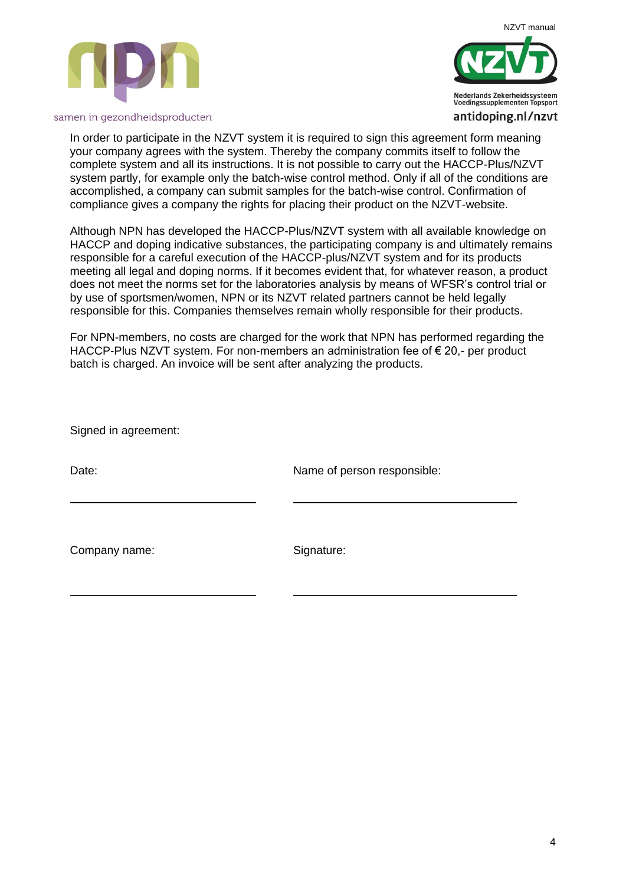



In order to participate in the NZVT system it is required to sign this agreement form meaning your company agrees with the system. Thereby the company commits itself to follow the complete system and all its instructions. It is not possible to carry out the HACCP-Plus/NZVT system partly, for example only the batch-wise control method. Only if all of the conditions are accomplished, a company can submit samples for the batch-wise control. Confirmation of compliance gives a company the rights for placing their product on the NZVT-website.

Although NPN has developed the HACCP-Plus/NZVT system with all available knowledge on HACCP and doping indicative substances, the participating company is and ultimately remains responsible for a careful execution of the HACCP-plus/NZVT system and for its products meeting all legal and doping norms. If it becomes evident that, for whatever reason, a product does not meet the norms set for the laboratories analysis by means of WFSR's control trial or by use of sportsmen/women, NPN or its NZVT related partners cannot be held legally responsible for this. Companies themselves remain wholly responsible for their products.

For NPN-members, no costs are charged for the work that NPN has performed regarding the HACCP-Plus NZVT system. For non-members an administration fee of € 20,- per product batch is charged. An invoice will be sent after analyzing the products.

Signed in agreement:

Date: Date: Name of person responsible:

Company name: Signature: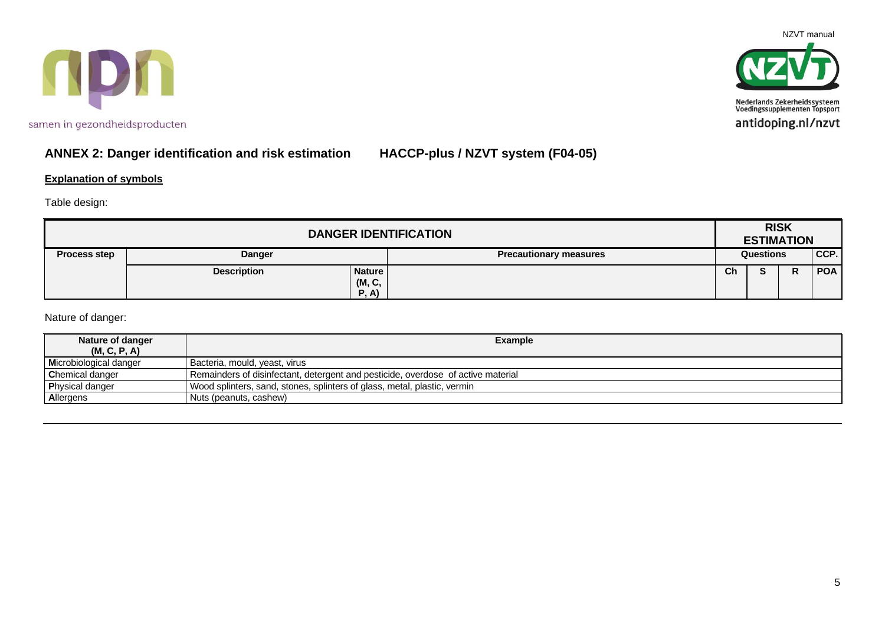



# **ANNEX 2: Danger identification and risk estimation HACCP-plus / NZVT system (F04-05)**

#### **Explanation of symbols**

Table design:

| <b>DANGER IDENTIFICATION</b> |                    |                                 |                               |           | <b>RISK</b><br><b>ESTIMATION</b> |        |            |
|------------------------------|--------------------|---------------------------------|-------------------------------|-----------|----------------------------------|--------|------------|
| <b>Process step</b>          | <b>Danger</b>      |                                 | <b>Precautionary measures</b> | Questions |                                  | CCP.   |            |
|                              | <b>Description</b> | <b>Nature</b><br>(M, C,<br>P, A |                               | Ch        |                                  | D<br>r | <b>POA</b> |

Nature of danger:

| Nature of danger<br>(M, C, P, A) | <b>Example</b>                                                                   |
|----------------------------------|----------------------------------------------------------------------------------|
| Microbiological danger           | Bacteria, mould, yeast, virus                                                    |
| Chemical danger                  | Remainders of disinfectant, detergent and pesticide, overdose of active material |
| <b>Physical danger</b>           | Wood splinters, sand, stones, splinters of glass, metal, plastic, vermin         |
| Allergens                        | I Nuts (peanuts, cashew)                                                         |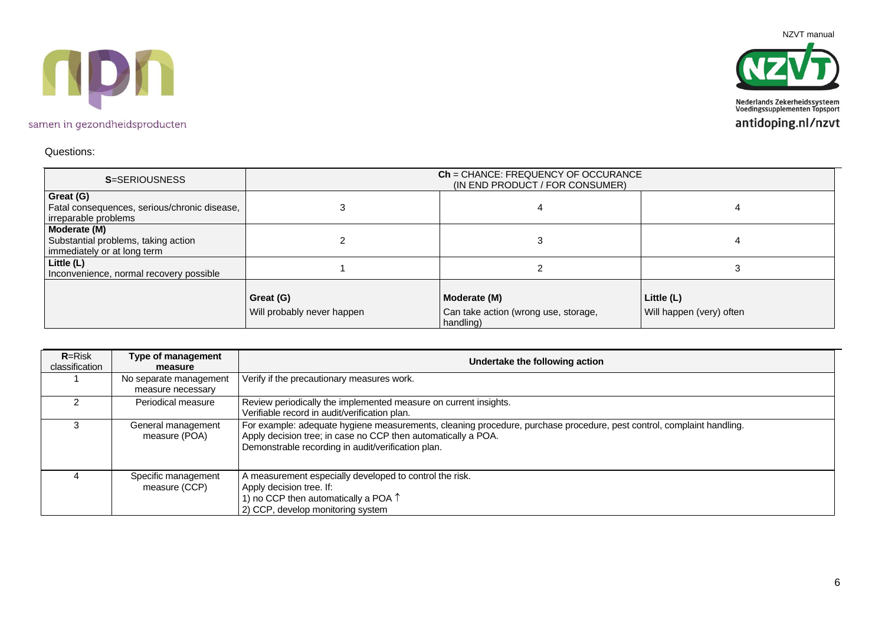



#### Questions:

| <b>S=SERIOUSNESS</b>                                                               |                                         | <b>Ch</b> = CHANCE: FREQUENCY OF OCCURANCE<br>(IN END PRODUCT / FOR CONSUMER) |                                        |
|------------------------------------------------------------------------------------|-----------------------------------------|-------------------------------------------------------------------------------|----------------------------------------|
| Great (G)<br>Fatal consequences, serious/chronic disease,<br>irreparable problems  |                                         |                                                                               |                                        |
| Moderate (M)<br>Substantial problems, taking action<br>immediately or at long term |                                         | 3                                                                             |                                        |
| Little (L)<br>Inconvenience, normal recovery possible                              |                                         |                                                                               |                                        |
|                                                                                    | Great (G)<br>Will probably never happen | Moderate (M)<br>Can take action (wrong use, storage,<br>handling)             | Little (L)<br>Will happen (very) often |

| $R = Risk$<br>classification | Type of management<br>measure               | Undertake the following action                                                                                                                                                                                                               |
|------------------------------|---------------------------------------------|----------------------------------------------------------------------------------------------------------------------------------------------------------------------------------------------------------------------------------------------|
|                              | No separate management<br>measure necessary | Verify if the precautionary measures work.                                                                                                                                                                                                   |
|                              | Periodical measure                          | Review periodically the implemented measure on current insights.<br>Verifiable record in audit/verification plan.                                                                                                                            |
|                              | General management<br>measure (POA)         | For example: adequate hygiene measurements, cleaning procedure, purchase procedure, pest control, complaint handling.<br>Apply decision tree; in case no CCP then automatically a POA.<br>Demonstrable recording in audit/verification plan. |
|                              | Specific management<br>measure (CCP)        | A measurement especially developed to control the risk.<br>Apply decision tree. If:<br>1) no CCP then automatically a POA $\uparrow$<br>2) CCP, develop monitoring system                                                                    |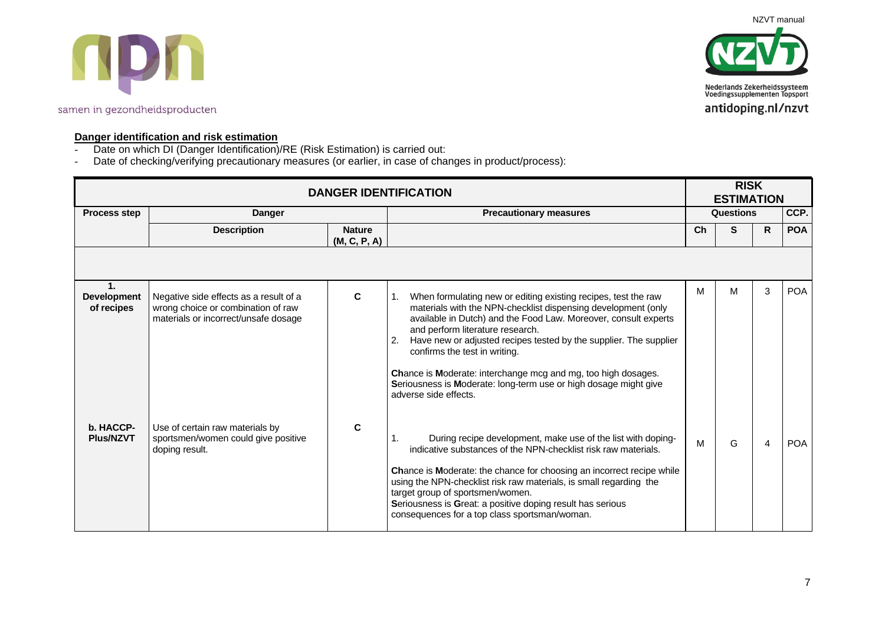NZVT manual



#### samen in gezondheidsproducten



#### **Danger identification and risk estimation**

- Date on which DI (Danger Identification)/RE (Risk Estimation) is carried out:
- Date of checking/verifying precautionary measures (or earlier, in case of changes in product/process):

|                                                    | <b>DANGER IDENTIFICATION</b>                                                                                         |                               |                                                                                                                                                                                                                                                                                                                                                                                                                                                                                                                        |    |                  | <b>RISK</b><br><b>ESTIMATION</b> |            |  |  |
|----------------------------------------------------|----------------------------------------------------------------------------------------------------------------------|-------------------------------|------------------------------------------------------------------------------------------------------------------------------------------------------------------------------------------------------------------------------------------------------------------------------------------------------------------------------------------------------------------------------------------------------------------------------------------------------------------------------------------------------------------------|----|------------------|----------------------------------|------------|--|--|
| <b>Process step</b>                                | <b>Danger</b>                                                                                                        |                               | <b>Precautionary measures</b>                                                                                                                                                                                                                                                                                                                                                                                                                                                                                          |    | <b>Questions</b> |                                  | CCP.       |  |  |
|                                                    | <b>Description</b>                                                                                                   | <b>Nature</b><br>(M, C, P, A) |                                                                                                                                                                                                                                                                                                                                                                                                                                                                                                                        | Ch | S                | R                                | <b>POA</b> |  |  |
|                                                    |                                                                                                                      |                               |                                                                                                                                                                                                                                                                                                                                                                                                                                                                                                                        |    |                  |                                  |            |  |  |
| $\mathbf{1}$ .<br><b>Development</b><br>of recipes | Negative side effects as a result of a<br>wrong choice or combination of raw<br>materials or incorrect/unsafe dosage | C                             | When formulating new or editing existing recipes, test the raw<br>1.<br>materials with the NPN-checklist dispensing development (only<br>available in Dutch) and the Food Law. Moreover, consult experts<br>and perform literature research.<br>Have new or adjusted recipes tested by the supplier. The supplier<br>2.<br>confirms the test in writing.<br>Chance is Moderate: interchange mcg and mg, too high dosages.<br>Seriousness is Moderate: long-term use or high dosage might give<br>adverse side effects. | М  | м                | 3                                | <b>POA</b> |  |  |
| b. HACCP-<br><b>Plus/NZVT</b>                      | Use of certain raw materials by<br>sportsmen/women could give positive<br>doping result.                             | C                             | During recipe development, make use of the list with doping-<br>indicative substances of the NPN-checklist risk raw materials.<br>Chance is Moderate: the chance for choosing an incorrect recipe while<br>using the NPN-checklist risk raw materials, is small regarding the<br>target group of sportsmen/women.<br>Seriousness is Great: a positive doping result has serious<br>consequences for a top class sportsman/woman.                                                                                       | M  | G                | 4                                | <b>POA</b> |  |  |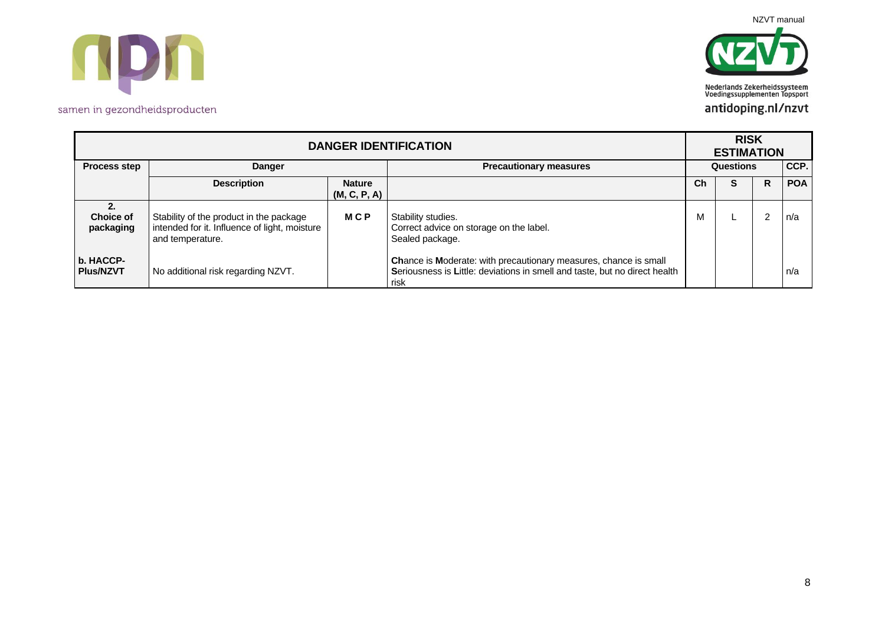



| <b>DANGER IDENTIFICATION</b>        |                                                                                                              |                               |                                                                                                                                                        |           | <b>RISK</b><br><b>ESTIMATION</b> |    |            |  |  |
|-------------------------------------|--------------------------------------------------------------------------------------------------------------|-------------------------------|--------------------------------------------------------------------------------------------------------------------------------------------------------|-----------|----------------------------------|----|------------|--|--|
| <b>Process step</b>                 | <b>Danger</b>                                                                                                |                               | <b>Precautionary measures</b>                                                                                                                          | Questions |                                  |    | CCP.       |  |  |
|                                     | <b>Description</b>                                                                                           | <b>Nature</b><br>(M, C, P, A) |                                                                                                                                                        | Ch        | S                                | R. | <b>POA</b> |  |  |
| 2.<br><b>Choice of</b><br>packaging | Stability of the product in the package<br>intended for it. Influence of light, moisture<br>and temperature. | <b>MCP</b>                    | Stability studies.<br>Correct advice on storage on the label.<br>Sealed package.                                                                       | M         |                                  | 2  | n/a        |  |  |
| b. HACCP-<br><b>Plus/NZVT</b>       | No additional risk regarding NZVT.                                                                           |                               | Chance is Moderate: with precautionary measures, chance is small<br>Seriousness is Little: deviations in smell and taste, but no direct health<br>risk |           |                                  |    | n/a        |  |  |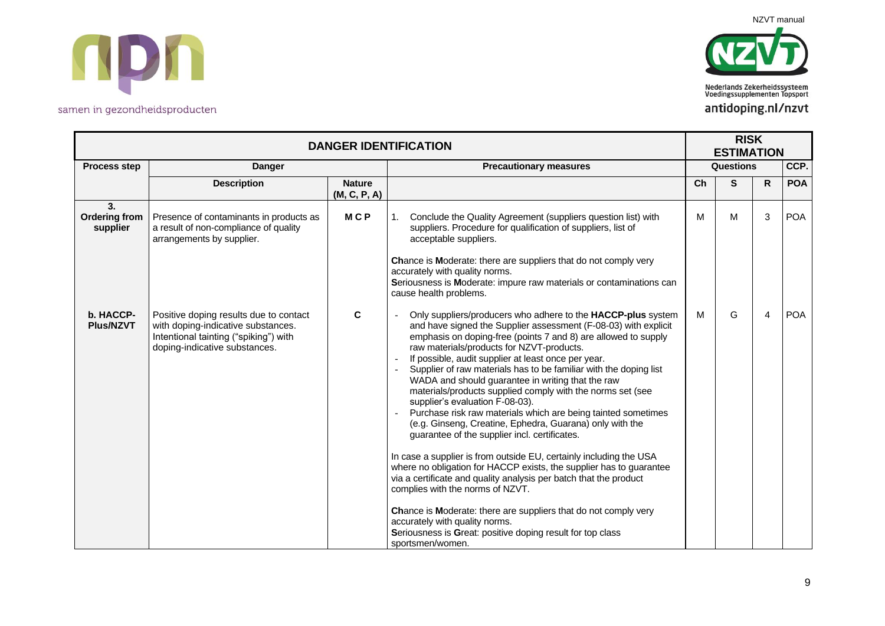



|                                        | <b>DANGER IDENTIFICATION</b>                                                                                                                           |                               |                                                                                                                                                                                                                                                                                                                                                                                                                                                                                                                                                                                                                                                                                                                                                                                                                                                                                                                                                                                                                                                                                                                                                             |    |                  | <b>RISK</b><br><b>ESTIMATION</b> |            |  |
|----------------------------------------|--------------------------------------------------------------------------------------------------------------------------------------------------------|-------------------------------|-------------------------------------------------------------------------------------------------------------------------------------------------------------------------------------------------------------------------------------------------------------------------------------------------------------------------------------------------------------------------------------------------------------------------------------------------------------------------------------------------------------------------------------------------------------------------------------------------------------------------------------------------------------------------------------------------------------------------------------------------------------------------------------------------------------------------------------------------------------------------------------------------------------------------------------------------------------------------------------------------------------------------------------------------------------------------------------------------------------------------------------------------------------|----|------------------|----------------------------------|------------|--|
| <b>Process step</b>                    | <b>Danger</b>                                                                                                                                          |                               | <b>Precautionary measures</b>                                                                                                                                                                                                                                                                                                                                                                                                                                                                                                                                                                                                                                                                                                                                                                                                                                                                                                                                                                                                                                                                                                                               |    | <b>Questions</b> |                                  | CCP.       |  |
|                                        | <b>Description</b>                                                                                                                                     | <b>Nature</b><br>(M, C, P, A) |                                                                                                                                                                                                                                                                                                                                                                                                                                                                                                                                                                                                                                                                                                                                                                                                                                                                                                                                                                                                                                                                                                                                                             | Ch | S                | R.                               | <b>POA</b> |  |
| 3.<br><b>Ordering from</b><br>supplier | Presence of contaminants in products as<br>a result of non-compliance of quality<br>arrangements by supplier.                                          | <b>MCP</b>                    | Conclude the Quality Agreement (suppliers question list) with<br>1.<br>suppliers. Procedure for qualification of suppliers, list of<br>acceptable suppliers.<br>Chance is Moderate: there are suppliers that do not comply very<br>accurately with quality norms.<br>Seriousness is Moderate: impure raw materials or contaminations can<br>cause health problems.                                                                                                                                                                                                                                                                                                                                                                                                                                                                                                                                                                                                                                                                                                                                                                                          | M  | M                | 3                                | <b>POA</b> |  |
| b. HACCP-<br><b>Plus/NZVT</b>          | Positive doping results due to contact<br>with doping-indicative substances.<br>Intentional tainting ("spiking") with<br>doping-indicative substances. | C                             | Only suppliers/producers who adhere to the HACCP-plus system<br>and have signed the Supplier assessment (F-08-03) with explicit<br>emphasis on doping-free (points 7 and 8) are allowed to supply<br>raw materials/products for NZVT-products.<br>If possible, audit supplier at least once per year.<br>Supplier of raw materials has to be familiar with the doping list<br>WADA and should guarantee in writing that the raw<br>materials/products supplied comply with the norms set (see<br>supplier's evaluation F-08-03).<br>Purchase risk raw materials which are being tainted sometimes<br>(e.g. Ginseng, Creatine, Ephedra, Guarana) only with the<br>guarantee of the supplier incl. certificates.<br>In case a supplier is from outside EU, certainly including the USA<br>where no obligation for HACCP exists, the supplier has to guarantee<br>via a certificate and quality analysis per batch that the product<br>complies with the norms of NZVT.<br>Chance is Moderate: there are suppliers that do not comply very<br>accurately with quality norms.<br>Seriousness is Great: positive doping result for top class<br>sportsmen/women. | M  | G                | 4                                | <b>POA</b> |  |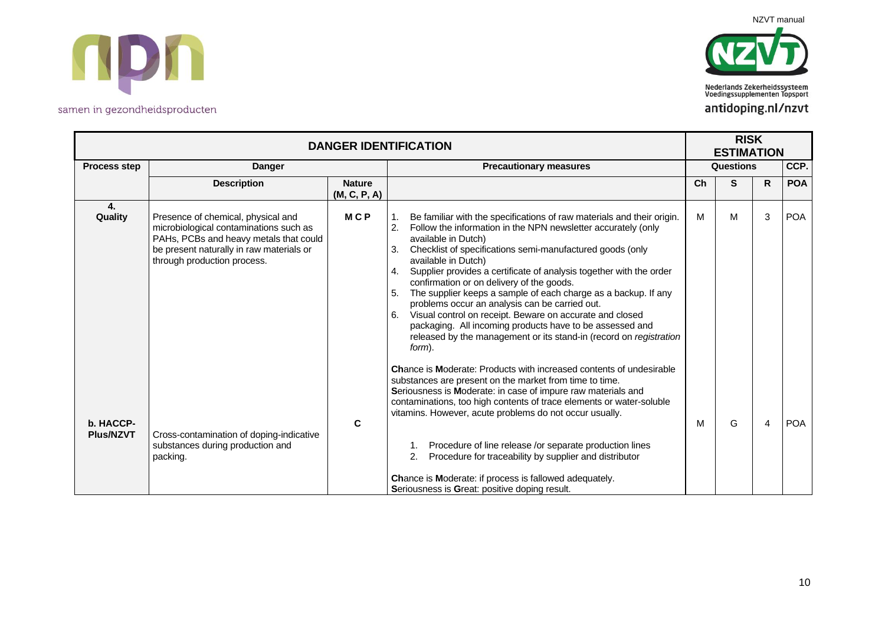



|                               | <b>DANGER IDENTIFICATION</b>                                                                                                                                                                      |                               |                                                                                                                                                                                                                                                                                                                                                                                                                                                                                                                                                                                                                                                                                                                                        |                  |   | <b>RISK</b><br><b>ESTIMATION</b> |            |  |
|-------------------------------|---------------------------------------------------------------------------------------------------------------------------------------------------------------------------------------------------|-------------------------------|----------------------------------------------------------------------------------------------------------------------------------------------------------------------------------------------------------------------------------------------------------------------------------------------------------------------------------------------------------------------------------------------------------------------------------------------------------------------------------------------------------------------------------------------------------------------------------------------------------------------------------------------------------------------------------------------------------------------------------------|------------------|---|----------------------------------|------------|--|
| <b>Process step</b>           | <b>Danger</b>                                                                                                                                                                                     |                               | <b>Precautionary measures</b>                                                                                                                                                                                                                                                                                                                                                                                                                                                                                                                                                                                                                                                                                                          | <b>Questions</b> |   |                                  | CCP.       |  |
|                               | <b>Description</b>                                                                                                                                                                                | <b>Nature</b><br>(M, C, P, A) |                                                                                                                                                                                                                                                                                                                                                                                                                                                                                                                                                                                                                                                                                                                                        | Ch               | S | R.                               | <b>POA</b> |  |
| 4.<br>Quality                 | Presence of chemical, physical and<br>microbiological contaminations such as<br>PAHs, PCBs and heavy metals that could<br>be present naturally in raw materials or<br>through production process. | <b>MCP</b>                    | Be familiar with the specifications of raw materials and their origin.<br>1.<br>Follow the information in the NPN newsletter accurately (only<br>2.<br>available in Dutch)<br>Checklist of specifications semi-manufactured goods (only<br>3.<br>available in Dutch)<br>Supplier provides a certificate of analysis together with the order<br>4.<br>confirmation or on delivery of the goods.<br>The supplier keeps a sample of each charge as a backup. If any<br>5.<br>problems occur an analysis can be carried out.<br>Visual control on receipt. Beware on accurate and closed<br>6.<br>packaging. All incoming products have to be assessed and<br>released by the management or its stand-in (record on registration<br>form). | M                | M | 3                                | <b>POA</b> |  |
| b. HACCP-<br><b>Plus/NZVT</b> | Cross-contamination of doping-indicative<br>substances during production and<br>packing.                                                                                                          | $\mathbf c$                   | <b>Chance is Moderate: Products with increased contents of undesirable</b><br>substances are present on the market from time to time.<br>Seriousness is Moderate: in case of impure raw materials and<br>contaminations, too high contents of trace elements or water-soluble<br>vitamins. However, acute problems do not occur usually.<br>Procedure of line release /or separate production lines<br>2.<br>Procedure for traceability by supplier and distributor<br>Chance is Moderate: if process is fallowed adequately.<br>Seriousness is Great: positive doping result.                                                                                                                                                         | M                | G | 4                                | <b>POA</b> |  |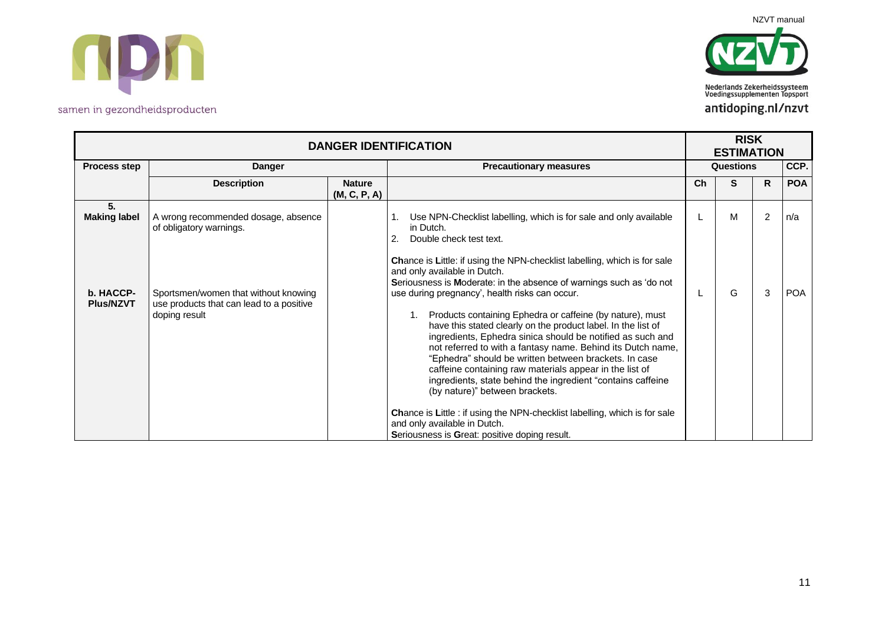



|                                        | <b>DANGER IDENTIFICATION</b>                                                                           |                               |                                                                                                                                                                                                                                                                                                                                                                                                                                                                                                                                                                                                                                                    |           | <b>RISK</b><br><b>ESTIMATION</b> |                     |                   |  |
|----------------------------------------|--------------------------------------------------------------------------------------------------------|-------------------------------|----------------------------------------------------------------------------------------------------------------------------------------------------------------------------------------------------------------------------------------------------------------------------------------------------------------------------------------------------------------------------------------------------------------------------------------------------------------------------------------------------------------------------------------------------------------------------------------------------------------------------------------------------|-----------|----------------------------------|---------------------|-------------------|--|
| <b>Process step</b>                    | <b>Danger</b>                                                                                          |                               | <b>Precautionary measures</b>                                                                                                                                                                                                                                                                                                                                                                                                                                                                                                                                                                                                                      | Questions |                                  |                     | CCP.              |  |
|                                        | <b>Description</b>                                                                                     | <b>Nature</b><br>(M, C, P, A) |                                                                                                                                                                                                                                                                                                                                                                                                                                                                                                                                                                                                                                                    | Ch        | S                                | R.                  | <b>POA</b>        |  |
| 5.<br><b>Making label</b><br>b. HACCP- | A wrong recommended dosage, absence<br>of obligatory warnings.<br>Sportsmen/women that without knowing |                               | Use NPN-Checklist labelling, which is for sale and only available<br>in Dutch.<br>2.<br>Double check test text.<br><b>Chance is Little: if using the NPN-checklist labelling, which is for sale</b><br>and only available in Dutch.<br>Seriousness is Moderate: in the absence of warnings such as 'do not<br>use during pregnancy', health risks can occur.                                                                                                                                                                                                                                                                                       |           | M<br>G                           | $\overline{2}$<br>3 | n/a<br><b>POA</b> |  |
| <b>Plus/NZVT</b>                       | use products that can lead to a positive<br>doping result                                              |                               | Products containing Ephedra or caffeine (by nature), must<br>have this stated clearly on the product label. In the list of<br>ingredients, Ephedra sinica should be notified as such and<br>not referred to with a fantasy name. Behind its Dutch name,<br>"Ephedra" should be written between brackets. In case<br>caffeine containing raw materials appear in the list of<br>ingredients, state behind the ingredient "contains caffeine<br>(by nature)" between brackets.<br><b>Chance is Little : if using the NPN-checklist labelling, which is for sale</b><br>and only available in Dutch.<br>Seriousness is Great: positive doping result. |           |                                  |                     |                   |  |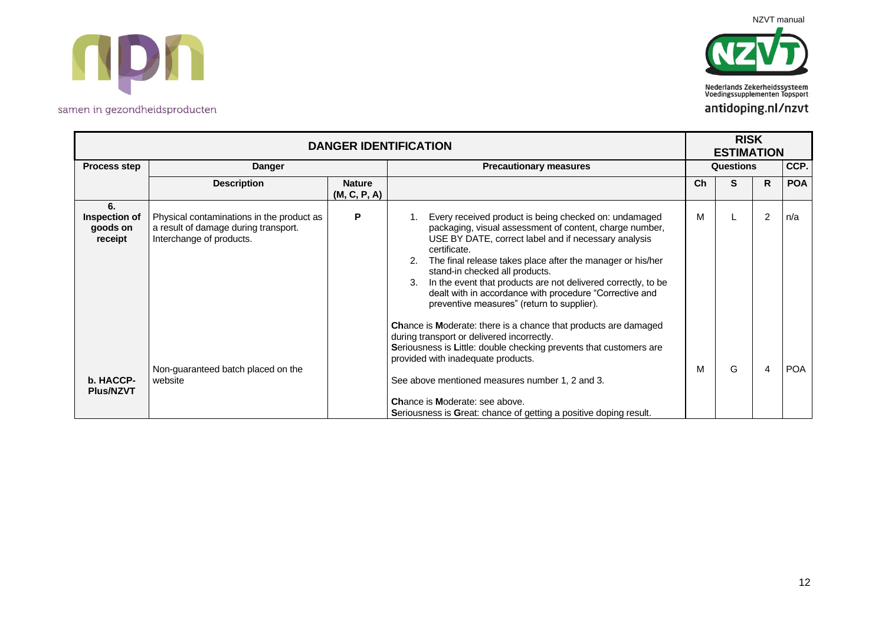



|                                            | <b>DANGER IDENTIFICATION</b>                                                                                  |                               |                                                                                                                                                                                                                                                                                                                                                                                                                                                                          |    |                  | <b>RISK</b><br><b>ESTIMATION</b> |            |  |  |
|--------------------------------------------|---------------------------------------------------------------------------------------------------------------|-------------------------------|--------------------------------------------------------------------------------------------------------------------------------------------------------------------------------------------------------------------------------------------------------------------------------------------------------------------------------------------------------------------------------------------------------------------------------------------------------------------------|----|------------------|----------------------------------|------------|--|--|
| Process step                               | <b>Danger</b>                                                                                                 |                               | <b>Precautionary measures</b>                                                                                                                                                                                                                                                                                                                                                                                                                                            |    | <b>Questions</b> |                                  | CCP.       |  |  |
|                                            | <b>Description</b>                                                                                            | <b>Nature</b><br>(M, C, P, A) |                                                                                                                                                                                                                                                                                                                                                                                                                                                                          | Ch | S                | R.                               | <b>POA</b> |  |  |
| 6.<br>Inspection of<br>goods on<br>receipt | Physical contaminations in the product as<br>a result of damage during transport.<br>Interchange of products. | P                             | Every received product is being checked on: undamaged<br>packaging, visual assessment of content, charge number,<br>USE BY DATE, correct label and if necessary analysis<br>certificate.<br>The final release takes place after the manager or his/her<br>stand-in checked all products.<br>In the event that products are not delivered correctly, to be<br>3.<br>dealt with in accordance with procedure "Corrective and<br>preventive measures" (return to supplier). | M  |                  | $\overline{2}$                   | n/a        |  |  |
| b. HACCP-<br><b>Plus/NZVT</b>              | Non-guaranteed batch placed on the<br>website                                                                 |                               | <b>Chance is Moderate: there is a chance that products are damaged</b><br>during transport or delivered incorrectly.<br>Seriousness is Little: double checking prevents that customers are<br>provided with inadequate products.<br>See above mentioned measures number 1, 2 and 3.<br>Chance is Moderate: see above.<br>Seriousness is Great: chance of getting a positive doping result.                                                                               | M  | G                | 4                                | <b>POA</b> |  |  |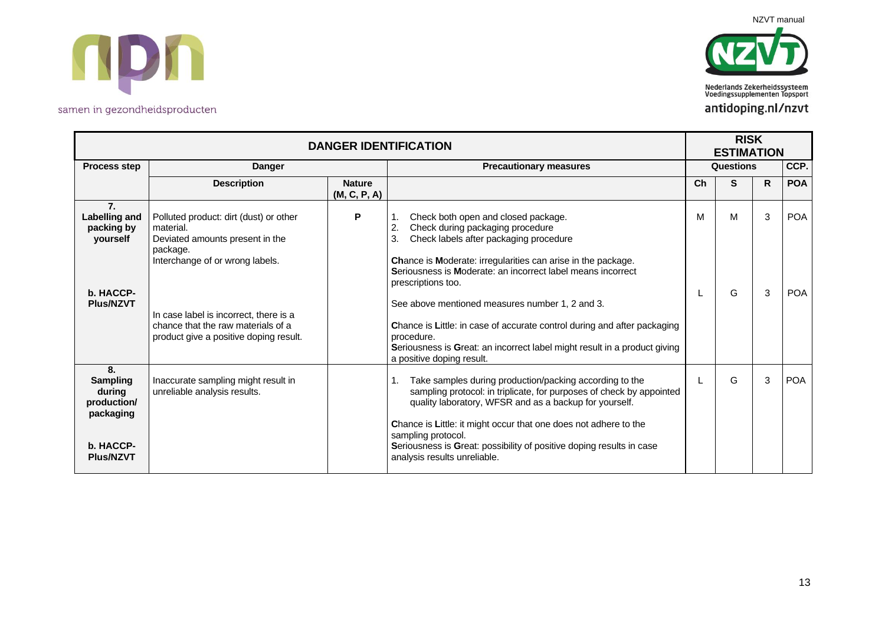



|                                                                                | <b>DANGER IDENTIFICATION</b>                                                                                                          |                               |                                                                                                                                                                                                                                                                                                                                       |           |        | <b>RISK</b><br><b>ESTIMATION</b> |                          |  |
|--------------------------------------------------------------------------------|---------------------------------------------------------------------------------------------------------------------------------------|-------------------------------|---------------------------------------------------------------------------------------------------------------------------------------------------------------------------------------------------------------------------------------------------------------------------------------------------------------------------------------|-----------|--------|----------------------------------|--------------------------|--|
| <b>Process step</b>                                                            | <b>Danger</b>                                                                                                                         |                               | <b>Precautionary measures</b>                                                                                                                                                                                                                                                                                                         | Questions |        |                                  | CCP.                     |  |
|                                                                                | <b>Description</b>                                                                                                                    | <b>Nature</b><br>(M, C, P, A) |                                                                                                                                                                                                                                                                                                                                       | Ch        | S      | R.                               | <b>POA</b>               |  |
| 7.<br>Labelling and<br>packing by<br>yourself<br>b. HACCP-<br><b>Plus/NZVT</b> | Polluted product: dirt (dust) or other<br>material.<br>Deviated amounts present in the<br>package.<br>Interchange of or wrong labels. | P                             | Check both open and closed package.<br>2.<br>Check during packaging procedure<br>3.<br>Check labels after packaging procedure<br>Chance is Moderate: irregularities can arise in the package.<br>Seriousness is Moderate: an incorrect label means incorrect<br>prescriptions too.<br>See above mentioned measures number 1, 2 and 3. | м         | м<br>G | 3<br>3                           | <b>POA</b><br><b>POA</b> |  |
|                                                                                | In case label is incorrect, there is a<br>chance that the raw materials of a<br>product give a positive doping result.                |                               | Chance is Little: in case of accurate control during and after packaging<br>procedure.<br>Seriousness is Great: an incorrect label might result in a product giving<br>a positive doping result.                                                                                                                                      |           |        |                                  |                          |  |
| 8.<br><b>Sampling</b><br>during<br>production/<br>packaging                    | Inaccurate sampling might result in<br>unreliable analysis results.                                                                   |                               | 1.<br>Take samples during production/packing according to the<br>sampling protocol: in triplicate, for purposes of check by appointed<br>quality laboratory, WFSR and as a backup for yourself.                                                                                                                                       |           | G      | 3                                | <b>POA</b>               |  |
| b. HACCP-<br><b>Plus/NZVT</b>                                                  |                                                                                                                                       |                               | Chance is Little: it might occur that one does not adhere to the<br>sampling protocol.<br>Seriousness is Great: possibility of positive doping results in case<br>analysis results unreliable.                                                                                                                                        |           |        |                                  |                          |  |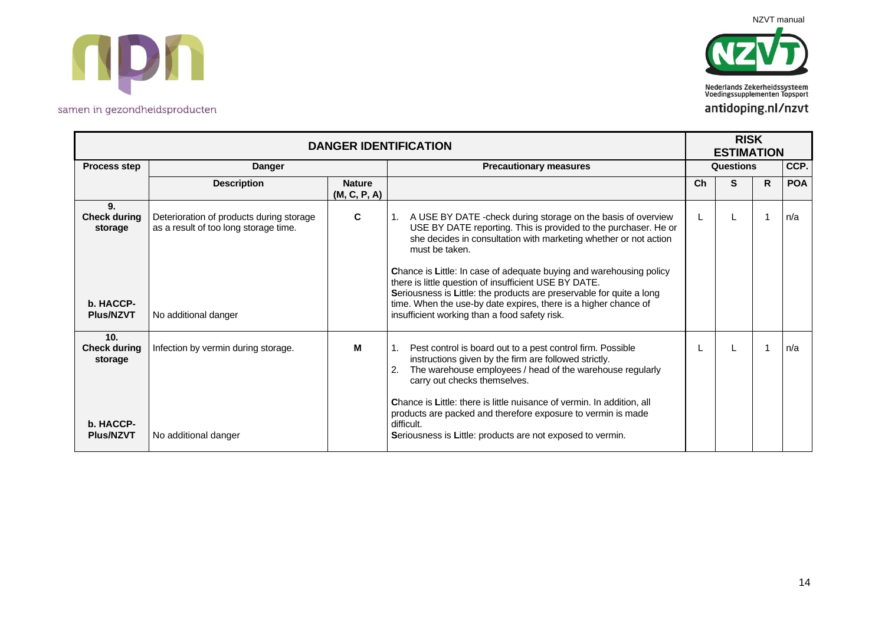



|                                                                        | <b>DANGER IDENTIFICATION</b>                                                                              |                               |                                                                                                                                                                                                                                                                                                                                                                                                                                                                                                                                                    |    |           | <b>RISK</b><br><b>ESTIMATION</b> |            |  |  |  |
|------------------------------------------------------------------------|-----------------------------------------------------------------------------------------------------------|-------------------------------|----------------------------------------------------------------------------------------------------------------------------------------------------------------------------------------------------------------------------------------------------------------------------------------------------------------------------------------------------------------------------------------------------------------------------------------------------------------------------------------------------------------------------------------------------|----|-----------|----------------------------------|------------|--|--|--|
| <b>Process step</b>                                                    | <b>Danger</b>                                                                                             |                               | <b>Precautionary measures</b>                                                                                                                                                                                                                                                                                                                                                                                                                                                                                                                      |    | Questions |                                  | CCP.       |  |  |  |
|                                                                        | <b>Description</b>                                                                                        | <b>Nature</b><br>(M, C, P, A) |                                                                                                                                                                                                                                                                                                                                                                                                                                                                                                                                                    | Ch | S         | R.                               | <b>POA</b> |  |  |  |
| 9.<br><b>Check during</b><br>storage<br>b. HACCP-<br><b>Plus/NZVT</b>  | Deterioration of products during storage<br>as a result of too long storage time.<br>No additional danger | C                             | A USE BY DATE - check during storage on the basis of overview<br>USE BY DATE reporting. This is provided to the purchaser. He or<br>she decides in consultation with marketing whether or not action<br>must be taken.<br>Chance is Little: In case of adequate buying and warehousing policy<br>there is little question of insufficient USE BY DATE.<br>Seriousness is Little: the products are preservable for quite a long<br>time. When the use-by date expires, there is a higher chance of<br>insufficient working than a food safety risk. |    |           |                                  | n/a        |  |  |  |
| 10.<br><b>Check during</b><br>storage<br>b. HACCP-<br><b>Plus/NZVT</b> | Infection by vermin during storage.<br>No additional danger                                               | м                             | Pest control is board out to a pest control firm. Possible<br>instructions given by the firm are followed strictly.<br>The warehouse employees / head of the warehouse regularly<br>carry out checks themselves.<br>Chance is Little: there is little nuisance of vermin. In addition, all<br>products are packed and therefore exposure to vermin is made<br>difficult.<br>Seriousness is Little: products are not exposed to vermin.                                                                                                             |    |           |                                  | n/a        |  |  |  |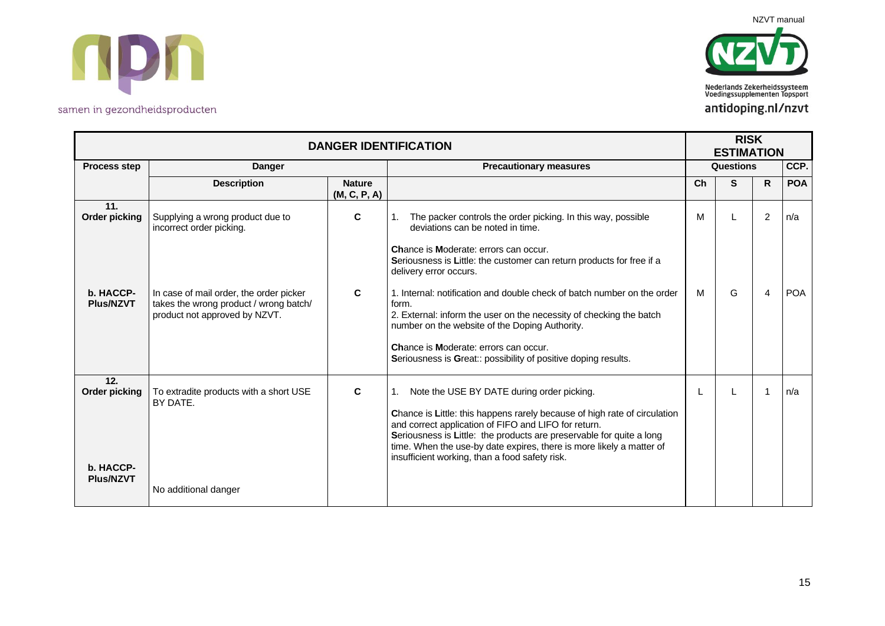



| <b>DANGER IDENTIFICATION</b>                                 |                                                                                                                                                                                    |                               |                                                                                                                                                                                                                                                                                                                                                                                                                                                                                                                                                                             |        | <b>RISK</b><br><b>ESTIMATION</b> |              |                   |
|--------------------------------------------------------------|------------------------------------------------------------------------------------------------------------------------------------------------------------------------------------|-------------------------------|-----------------------------------------------------------------------------------------------------------------------------------------------------------------------------------------------------------------------------------------------------------------------------------------------------------------------------------------------------------------------------------------------------------------------------------------------------------------------------------------------------------------------------------------------------------------------------|--------|----------------------------------|--------------|-------------------|
| <b>Process step</b>                                          | Danger                                                                                                                                                                             |                               | <b>Precautionary measures</b>                                                                                                                                                                                                                                                                                                                                                                                                                                                                                                                                               |        | Questions                        |              |                   |
|                                                              | <b>Description</b>                                                                                                                                                                 | <b>Nature</b><br>(M, C, P, A) |                                                                                                                                                                                                                                                                                                                                                                                                                                                                                                                                                                             | Ch     | S                                | $\mathsf{R}$ | <b>POA</b>        |
| 11.<br><b>Order picking</b><br>b. HACCP-<br><b>Plus/NZVT</b> | Supplying a wrong product due to<br>incorrect order picking.<br>In case of mail order, the order picker<br>takes the wrong product / wrong batch/<br>product not approved by NZVT. | C<br>C                        | The packer controls the order picking. In this way, possible<br>deviations can be noted in time.<br>Chance is Moderate: errors can occur.<br>Seriousness is Little: the customer can return products for free if a<br>delivery error occurs.<br>1. Internal: notification and double check of batch number on the order<br>form.<br>2. External: inform the user on the necessity of checking the batch<br>number on the website of the Doping Authority.<br><b>Chance is Moderate: errors can occur.</b><br>Seriousness is Great:: possibility of positive doping results. | M<br>M | G                                | 2<br>4       | n/a<br><b>POA</b> |
| 12.<br><b>Order picking</b><br>b. HACCP-<br><b>Plus/NZVT</b> | To extradite products with a short USE<br>BY DATE.<br>No additional danger                                                                                                         | C                             | Note the USE BY DATE during order picking.<br>Chance is Little: this happens rarely because of high rate of circulation<br>and correct application of FIFO and LIFO for return.<br>Seriousness is Little: the products are preservable for quite a long<br>time. When the use-by date expires, there is more likely a matter of<br>insufficient working, than a food safety risk.                                                                                                                                                                                           |        |                                  | 1            | n/a               |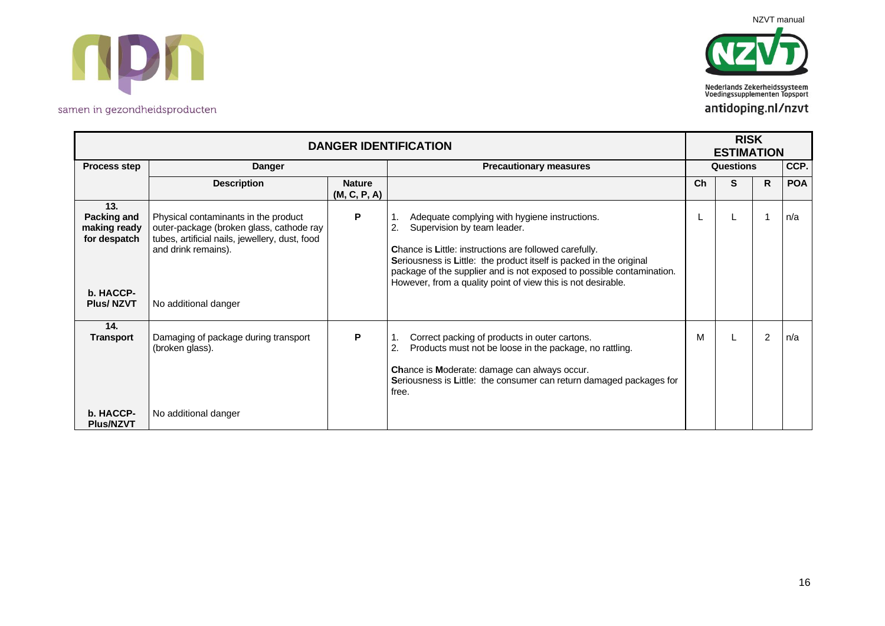



| <b>DANGER IDENTIFICATION</b>                       |                                                                                                                                                           |                               |                                                                                                                                                                                                                                                                                                                                                              |    | <b>RISK</b><br><b>ESTIMATION</b> |                |            |
|----------------------------------------------------|-----------------------------------------------------------------------------------------------------------------------------------------------------------|-------------------------------|--------------------------------------------------------------------------------------------------------------------------------------------------------------------------------------------------------------------------------------------------------------------------------------------------------------------------------------------------------------|----|----------------------------------|----------------|------------|
| Process step                                       | <b>Danger</b>                                                                                                                                             |                               | <b>Precautionary measures</b>                                                                                                                                                                                                                                                                                                                                |    | Questions                        |                | CCP.       |
|                                                    | <b>Description</b>                                                                                                                                        | <b>Nature</b><br>(M, C, P, A) |                                                                                                                                                                                                                                                                                                                                                              | Ch | S                                | R              | <b>POA</b> |
| 13.<br>Packing and<br>making ready<br>for despatch | Physical contaminants in the product<br>outer-package (broken glass, cathode ray<br>tubes, artificial nails, jewellery, dust, food<br>and drink remains). | P                             | Adequate complying with hygiene instructions.<br>2.<br>Supervision by team leader.<br>Chance is Little: instructions are followed carefully.<br>Seriousness is Little: the product itself is packed in the original<br>package of the supplier and is not exposed to possible contamination.<br>However, from a quality point of view this is not desirable. |    |                                  |                | n/a        |
| b. HACCP-<br><b>Plus/NZVT</b>                      | No additional danger                                                                                                                                      |                               |                                                                                                                                                                                                                                                                                                                                                              |    |                                  |                |            |
| 14.<br><b>Transport</b>                            | Damaging of package during transport<br>(broken glass).                                                                                                   | P                             | Correct packing of products in outer cartons.<br>2.<br>Products must not be loose in the package, no rattling.<br><b>Chance is Moderate: damage can always occur.</b><br>Seriousness is Little: the consumer can return damaged packages for<br>free.                                                                                                        | м  |                                  | $\overline{2}$ | l n/a      |
| b. HACCP-<br><b>Plus/NZVT</b>                      | No additional danger                                                                                                                                      |                               |                                                                                                                                                                                                                                                                                                                                                              |    |                                  |                |            |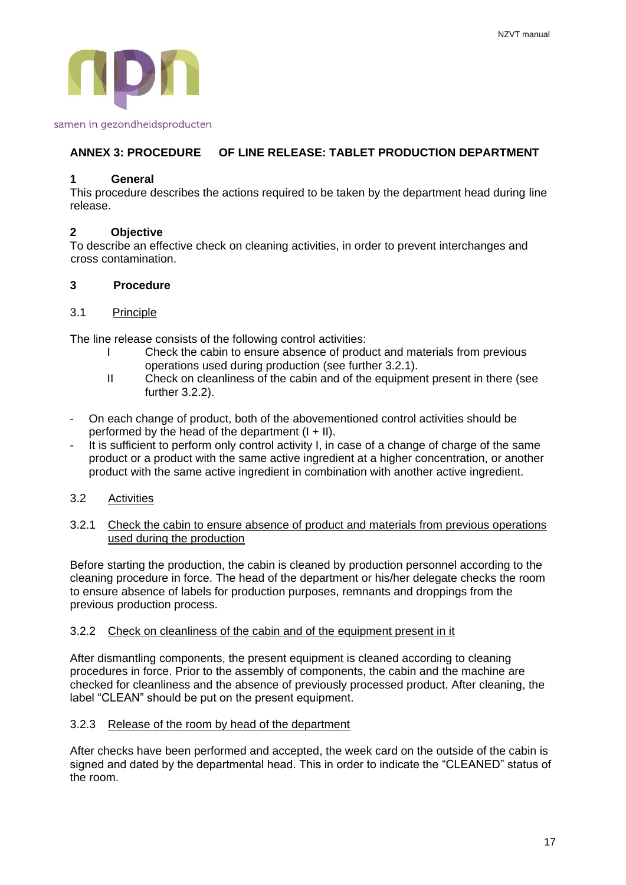

# **ANNEX 3: PROCEDURE OF LINE RELEASE: TABLET PRODUCTION DEPARTMENT**

#### **1 General**

This procedure describes the actions required to be taken by the department head during line release.

# **2 Objective**

To describe an effective check on cleaning activities, in order to prevent interchanges and cross contamination.

#### **3 Procedure**

#### 3.1 Principle

The line release consists of the following control activities:

- I Check the cabin to ensure absence of product and materials from previous operations used during production (see further 3.2.1).
- II Check on cleanliness of the cabin and of the equipment present in there (see further 3.2.2).
- On each change of product, both of the abovementioned control activities should be performed by the head of the department  $(I + II)$ .
- It is sufficient to perform only control activity I, in case of a change of charge of the same product or a product with the same active ingredient at a higher concentration, or another product with the same active ingredient in combination with another active ingredient.
- 3.2 Activities

#### 3.2.1 Check the cabin to ensure absence of product and materials from previous operations used during the production

Before starting the production, the cabin is cleaned by production personnel according to the cleaning procedure in force. The head of the department or his/her delegate checks the room to ensure absence of labels for production purposes, remnants and droppings from the previous production process.

#### 3.2.2 Check on cleanliness of the cabin and of the equipment present in it

After dismantling components, the present equipment is cleaned according to cleaning procedures in force. Prior to the assembly of components, the cabin and the machine are checked for cleanliness and the absence of previously processed product. After cleaning, the label "CLEAN" should be put on the present equipment.

# 3.2.3 Release of the room by head of the department

After checks have been performed and accepted, the week card on the outside of the cabin is signed and dated by the departmental head. This in order to indicate the "CLEANED" status of the room.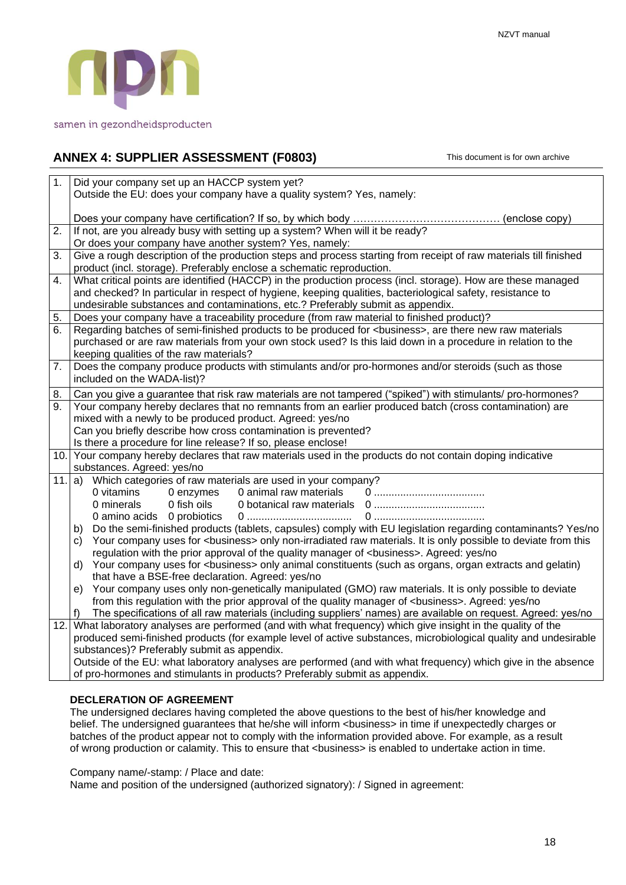

# **ANNEX 4: SUPPLIER ASSESSMENT (F0803)** This document is for own archive

| $\overline{1}$ . | Did your company set up an HACCP system yet?<br>Outside the EU: does your company have a quality system? Yes, namely:          |  |  |  |  |  |  |
|------------------|--------------------------------------------------------------------------------------------------------------------------------|--|--|--|--|--|--|
|                  |                                                                                                                                |  |  |  |  |  |  |
|                  |                                                                                                                                |  |  |  |  |  |  |
| $\overline{2}$ . | If not, are you already busy with setting up a system? When will it be ready?                                                  |  |  |  |  |  |  |
|                  | Or does your company have another system? Yes, namely:                                                                         |  |  |  |  |  |  |
| 3.               | Give a rough description of the production steps and process starting from receipt of raw materials till finished              |  |  |  |  |  |  |
|                  | product (incl. storage). Preferably enclose a schematic reproduction.                                                          |  |  |  |  |  |  |
| 4.               | What critical points are identified (HACCP) in the production process (incl. storage). How are these managed                   |  |  |  |  |  |  |
|                  | and checked? In particular in respect of hygiene, keeping qualities, bacteriological safety, resistance to                     |  |  |  |  |  |  |
|                  | undesirable substances and contaminations, etc.? Preferably submit as appendix.                                                |  |  |  |  |  |  |
| 5.               | Does your company have a traceability procedure (from raw material to finished product)?                                       |  |  |  |  |  |  |
| 6.               | Regarding batches of semi-finished products to be produced for <business>, are there new raw materials</business>              |  |  |  |  |  |  |
|                  | purchased or are raw materials from your own stock used? Is this laid down in a procedure in relation to the                   |  |  |  |  |  |  |
|                  | keeping qualities of the raw materials?                                                                                        |  |  |  |  |  |  |
| 7.               | Does the company produce products with stimulants and/or pro-hormones and/or steroids (such as those                           |  |  |  |  |  |  |
|                  | included on the WADA-list)?                                                                                                    |  |  |  |  |  |  |
| 8.               | Can you give a guarantee that risk raw materials are not tampered ("spiked") with stimulants/ pro-hormones?                    |  |  |  |  |  |  |
| 9.               | Your company hereby declares that no remnants from an earlier produced batch (cross contamination) are                         |  |  |  |  |  |  |
|                  | mixed with a newly to be produced product. Agreed: yes/no                                                                      |  |  |  |  |  |  |
|                  | Can you briefly describe how cross contamination is prevented?                                                                 |  |  |  |  |  |  |
|                  | Is there a procedure for line release? If so, please enclose!                                                                  |  |  |  |  |  |  |
|                  | 10. Your company hereby declares that raw materials used in the products do not contain doping indicative                      |  |  |  |  |  |  |
|                  | substances. Agreed: yes/no                                                                                                     |  |  |  |  |  |  |
|                  | Which categories of raw materials are used in your company?<br>$11.  a\rangle$<br>0 vitamins<br>0 animal raw materials         |  |  |  |  |  |  |
|                  | 0 enzymes<br>0 fish oils<br>0 minerals                                                                                         |  |  |  |  |  |  |
|                  | 0 amino acids 0 probiotics<br>0                                                                                                |  |  |  |  |  |  |
|                  | Do the semi-finished products (tablets, capsules) comply with EU legislation regarding contaminants? Yes/no<br>b)              |  |  |  |  |  |  |
|                  | Your company uses for <business> only non-irradiated raw materials. It is only possible to deviate from this<br/>C)</business> |  |  |  |  |  |  |
|                  | regulation with the prior approval of the quality manager of<br>business>. Agreed: yes/no                                      |  |  |  |  |  |  |
|                  | Your company uses for <business> only animal constituents (such as organs, organ extracts and gelatin)<br/>d)</business>       |  |  |  |  |  |  |
|                  | that have a BSE-free declaration. Agreed: yes/no                                                                               |  |  |  |  |  |  |
|                  | e) Your company uses only non-genetically manipulated (GMO) raw materials. It is only possible to deviate                      |  |  |  |  |  |  |
|                  | from this regulation with the prior approval of the quality manager of<br>business>. Agreed: yes/no                            |  |  |  |  |  |  |
|                  | The specifications of all raw materials (including suppliers' names) are available on request. Agreed: yes/no<br>f)            |  |  |  |  |  |  |
| 12.              | What laboratory analyses are performed (and with what frequency) which give insight in the quality of the                      |  |  |  |  |  |  |
|                  | produced semi-finished products (for example level of active substances, microbiological quality and undesirable               |  |  |  |  |  |  |
|                  | substances)? Preferably submit as appendix.                                                                                    |  |  |  |  |  |  |
|                  | Outside of the EU: what laboratory analyses are performed (and with what frequency) which give in the absence                  |  |  |  |  |  |  |
|                  | of pro-hormones and stimulants in products? Preferably submit as appendix.                                                     |  |  |  |  |  |  |
|                  |                                                                                                                                |  |  |  |  |  |  |

# **DECLERATION OF AGREEMENT**

The undersigned declares having completed the above questions to the best of his/her knowledge and belief. The undersigned guarantees that he/she will inform <br/>business> in time if unexpectedly charges or batches of the product appear not to comply with the information provided above. For example, as a result of wrong production or calamity. This to ensure that <business> is enabled to undertake action in time.

Company name/-stamp: / Place and date:

Name and position of the undersigned (authorized signatory): / Signed in agreement: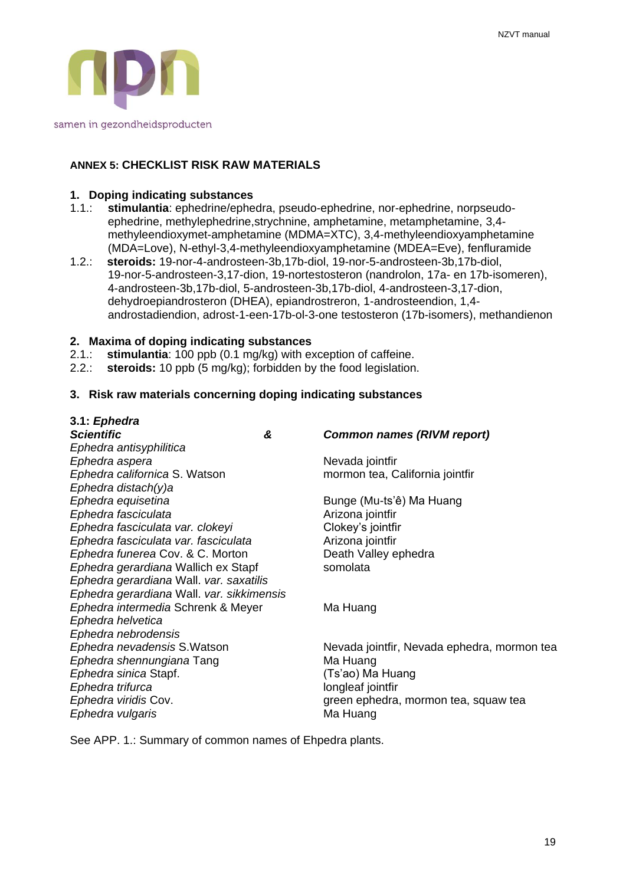

# **ANNEX 5: CHECKLIST RISK RAW MATERIALS**

#### **1. Doping indicating substances**

- 1.1.: **stimulantia**: ephedrine/ephedra, pseudo-ephedrine, nor-ephedrine, norpseudoephedrine, methylephedrine,strychnine, amphetamine, metamphetamine, 3,4 methyleendioxymet-amphetamine (MDMA=XTC), 3,4-methyleendioxyamphetamine (MDA=Love), N-ethyl-3,4-methyleendioxyamphetamine (MDEA=Eve), fenfluramide
- 1.2.: **steroids:** 19-nor-4-androsteen-3b,17b-diol, 19-nor-5-androsteen-3b,17b-diol, 19-nor-5-androsteen-3,17-dion, 19-nortestosteron (nandrolon, 17a- en 17b-isomeren), 4-androsteen-3b,17b-diol, 5-androsteen-3b,17b-diol, 4-androsteen-3,17-dion, dehydroepiandrosteron (DHEA), epiandrostreron, 1-androsteendion, 1,4 androstadiendion, adrost-1-een-17b-ol-3-one testosteron (17b-isomers), methandienon

#### **2. Maxima of doping indicating substances**

- 2.1.: **stimulantia**: 100 ppb (0.1 mg/kg) with exception of caffeine.
- 2.2.: **steroids:** 10 ppb (5 mg/kg); forbidden by the food legislation.

#### **3. Risk raw materials concerning doping indicating substances**

| 3.1: Ephedra                              |   |                                             |
|-------------------------------------------|---|---------------------------------------------|
| <b>Scientific</b>                         | & | <b>Common names (RIVM report)</b>           |
| Ephedra antisyphilitica                   |   |                                             |
| Ephedra aspera                            |   | Nevada jointfir                             |
| Ephedra californica S. Watson             |   | mormon tea, California jointfir             |
| Ephedra distach(y)a                       |   |                                             |
| Ephedra equisetina                        |   | Bunge (Mu-ts'ê) Ma Huang                    |
| Ephedra fasciculata                       |   | Arizona jointfir                            |
| Ephedra fasciculata var. clokeyi          |   | Clokey's jointfir                           |
| Ephedra fasciculata var. fasciculata      |   | Arizona jointfir                            |
| Ephedra funerea Cov. & C. Morton          |   | Death Valley ephedra                        |
| Ephedra gerardiana Wallich ex Stapf       |   | somolata                                    |
| Ephedra gerardiana Wall. var. saxatilis   |   |                                             |
| Ephedra gerardiana Wall. var. sikkimensis |   |                                             |
| Ephedra intermedia Schrenk & Meyer        |   | Ma Huang                                    |
| Ephedra helvetica                         |   |                                             |
| Ephedra nebrodensis                       |   |                                             |
| Ephedra nevadensis S. Watson              |   | Nevada jointfir, Nevada ephedra, mormon tea |
| Ephedra shennungiana Tang                 |   | Ma Huang                                    |
| Ephedra sinica Stapf.                     |   | (Ts'ao) Ma Huang                            |
| Ephedra trifurca                          |   | longleaf jointfir                           |
| Ephedra viridis Cov.                      |   | green ephedra, mormon tea, squaw tea        |
| Ephedra vulgaris                          |   | Ma Huang                                    |
|                                           |   |                                             |

See APP. 1.: Summary of common names of Ehpedra plants.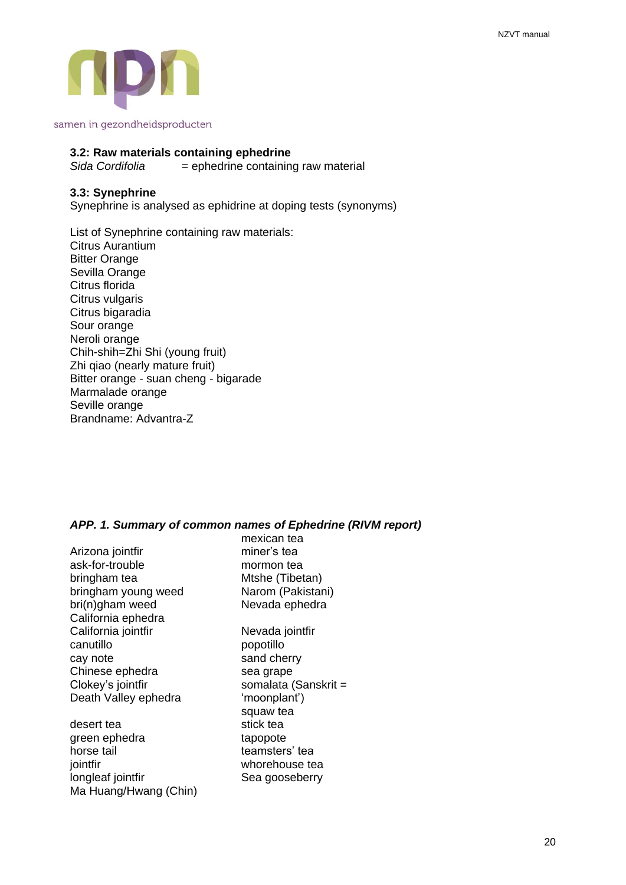

#### **3.2: Raw materials containing ephedrine**

*Sida Cordifolia* = ephedrine containing raw material

#### **3.3: Synephrine**

Synephrine is analysed as ephidrine at doping tests (synonyms)

List of Synephrine containing raw materials: Citrus Aurantium Bitter Orange Sevilla Orange Citrus florida Citrus vulgaris Citrus bigaradia Sour orange Neroli orange Chih-shih=Zhi Shi (young fruit) Zhi qiao (nearly mature fruit) Bitter orange - suan cheng - bigarade Marmalade orange Seville orange Brandname: Advantra-Z

#### *APP. 1. Summary of common names of Ephedrine (RIVM report)* mexican tea

|                       | mexican tea          |
|-----------------------|----------------------|
| Arizona jointfir      | miner's tea          |
| ask-for-trouble       | mormon tea           |
| bringham tea          | Mtshe (Tibetan)      |
| bringham young weed   | Narom (Pakistani)    |
| bri(n)gham weed       | Nevada ephedra       |
| California ephedra    |                      |
| California jointfir   | Nevada jointfir      |
| canutillo             | popotillo            |
| cay note              | sand cherry          |
| Chinese ephedra       | sea grape            |
| Clokey's jointfir     | somalata (Sanskrit = |
| Death Valley ephedra  | 'moonplant')         |
|                       | squaw tea            |
| desert tea            | stick tea            |
| green ephedra         | tapopote             |
| horse tail            | teamsters' tea       |
| jointfir              | whorehouse tea       |
| longleaf jointfir     | Sea gooseberry       |
| Ma Huang/Hwang (Chin) |                      |
|                       |                      |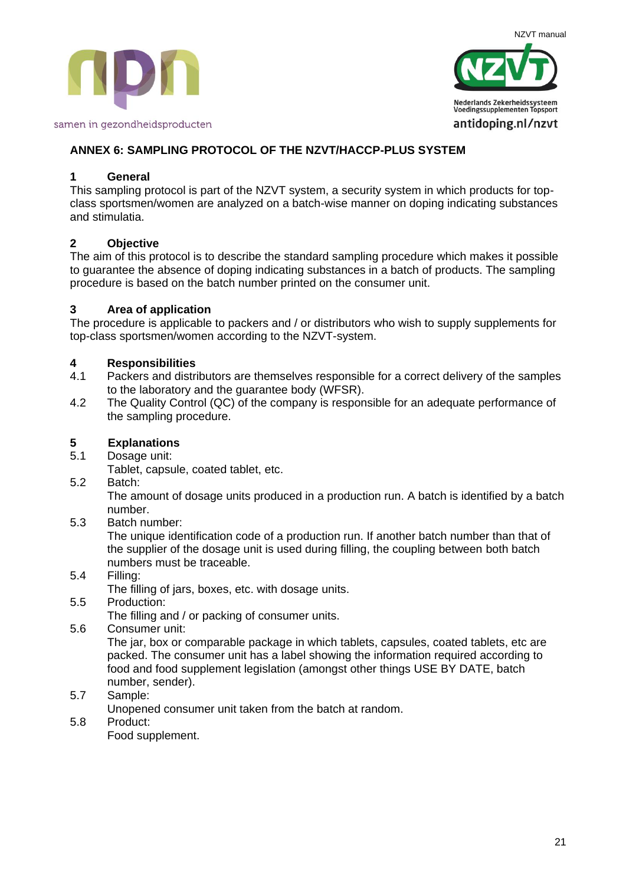



# **ANNEX 6: SAMPLING PROTOCOL OF THE NZVT/HACCP-PLUS SYSTEM**

# **1 General**

This sampling protocol is part of the NZVT system, a security system in which products for topclass sportsmen/women are analyzed on a batch-wise manner on doping indicating substances and stimulatia.

# **2 Objective**

The aim of this protocol is to describe the standard sampling procedure which makes it possible to guarantee the absence of doping indicating substances in a batch of products. The sampling procedure is based on the batch number printed on the consumer unit.

# **3 Area of application**

The procedure is applicable to packers and / or distributors who wish to supply supplements for top-class sportsmen/women according to the NZVT-system.

# **4 Responsibilities**

- 4.1 Packers and distributors are themselves responsible for a correct delivery of the samples to the laboratory and the guarantee body (WFSR).
- 4.2 The Quality Control (QC) of the company is responsible for an adequate performance of the sampling procedure.

# **5 Explanations**

5.1 Dosage unit:

Tablet, capsule, coated tablet, etc.

5.2 Batch:

The amount of dosage units produced in a production run. A batch is identified by a batch number.

5.3 Batch number:

The unique identification code of a production run. If another batch number than that of the supplier of the dosage unit is used during filling, the coupling between both batch numbers must be traceable.

5.4 Filling:

The filling of jars, boxes, etc. with dosage units.

5.5 Production:

The filling and / or packing of consumer units.

5.6 Consumer unit:

The jar, box or comparable package in which tablets, capsules, coated tablets, etc are packed. The consumer unit has a label showing the information required according to food and food supplement legislation (amongst other things USE BY DATE, batch number, sender).

5.7 Sample:

Unopened consumer unit taken from the batch at random.

5.8 Product:

Food supplement.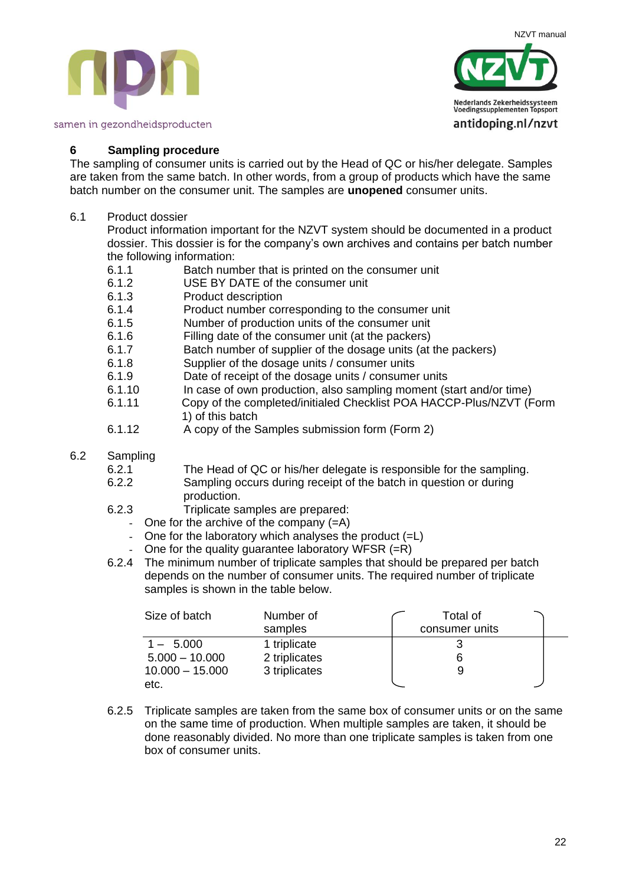NZVT manual





#### **6 Sampling procedure**

The sampling of consumer units is carried out by the Head of QC or his/her delegate. Samples are taken from the same batch. In other words, from a group of products which have the same batch number on the consumer unit. The samples are **unopened** consumer units.

6.1 Product dossier

Product information important for the NZVT system should be documented in a product dossier. This dossier is for the company's own archives and contains per batch number the following information:

- 6.1.1 Batch number that is printed on the consumer unit
- 6.1.2 USE BY DATE of the consumer unit
- 6.1.3 Product description
- 6.1.4 Product number corresponding to the consumer unit
- 6.1.5 Number of production units of the consumer unit
- 6.1.6 Filling date of the consumer unit (at the packers)
- 6.1.7 Batch number of supplier of the dosage units (at the packers)
- 6.1.8 Supplier of the dosage units / consumer units
- 6.1.9 Date of receipt of the dosage units / consumer units
- 6.1.10 In case of own production, also sampling moment (start and/or time)
- 6.1.11 Copy of the completed/initialed Checklist POA HACCP-Plus/NZVT (Form 1) of this batch
- 6.1.12 A copy of the Samples submission form (Form 2)

#### 6.2 Sampling

- 6.2.1 The Head of QC or his/her delegate is responsible for the sampling.
- 6.2.2 Sampling occurs during receipt of the batch in question or during production.
- 6.2.3 Triplicate samples are prepared:
	- One for the archive of the company (=A)
	- One for the laboratory which analyses the product  $(=L)$
	- One for the quality guarantee laboratory WFSR  $(=R)$
- 6.2.4 The minimum number of triplicate samples that should be prepared per batch depends on the number of consumer units. The required number of triplicate samples is shown in the table below.

| Size of batch     | Number of<br>samples | Total of<br>consumer units |
|-------------------|----------------------|----------------------------|
| $1 - 5.000$       | 1 triplicate         |                            |
| $5.000 - 10.000$  | 2 triplicates        |                            |
| $10.000 - 15.000$ | 3 triplicates        |                            |
| etc.              |                      |                            |

6.2.5 Triplicate samples are taken from the same box of consumer units or on the same on the same time of production. When multiple samples are taken, it should be done reasonably divided. No more than one triplicate samples is taken from one box of consumer units.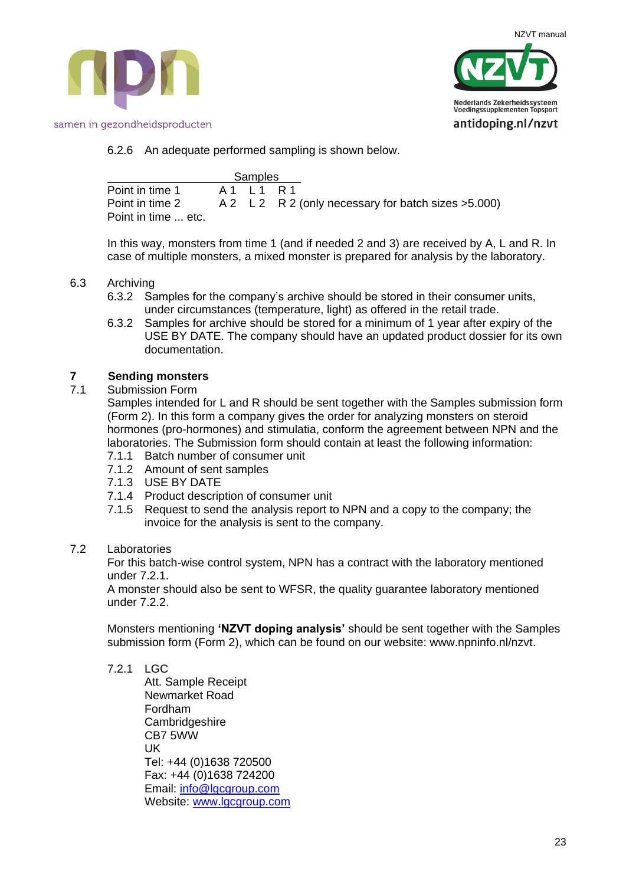



# 6.2.6 An adequate performed sampling is shown below.

|                     | Samples     |                                                      |
|---------------------|-------------|------------------------------------------------------|
| Point in time 1     | A 1 1 1 R 1 |                                                      |
| Point in time 2     |             | A 2 L 2 R 2 (only necessary for batch sizes > 5.000) |
| Point in time  etc. |             |                                                      |

In this way, monsters from time 1 (and if needed 2 and 3) are received by A, L and R. In case of multiple monsters, a mixed monster is prepared for analysis by the laboratory.

# 6.3 Archiving

- 6.3.2 Samples for the company's archive should be stored in their consumer units, under circumstances (temperature, light) as offered in the retail trade.
- 6.3.2 Samples for archive should be stored for a minimum of 1 year after expiry of the USE BY DATE. The company should have an updated product dossier for its own documentation.

# **7 Sending monsters**

7.1 Submission Form

Samples intended for L and R should be sent together with the Samples submission form (Form 2). In this form a company gives the order for analyzing monsters on steroid hormones (pro-hormones) and stimulatia, conform the agreement between NPN and the laboratories. The Submission form should contain at least the following information: 7.1.1 Batch number of consumer unit

- 
- 7.1.2 Amount of sent samples
- 7.1.3 USE BY DATE
- 7.1.4 Product description of consumer unit
- 7.1.5 Request to send the analysis report to NPN and a copy to the company; the invoice for the analysis is sent to the company.

# 7.2 Laboratories

For this batch-wise control system, NPN has a contract with the laboratory mentioned under 7.2.1.

A monster should also be sent to WFSR, the quality guarantee laboratory mentioned under 7.2.2.

Monsters mentioning **'NZVT doping analysis'** should be sent together with the Samples submission form (Form 2), which can be found on our website: www.npninfo.nl/nzvt.

# 7.2.1 LGC

Att. Sample Receipt Newmarket Road Fordham **Cambridgeshire** CB7 5WW UK Tel: +44 (0)1638 720500 Fax: +44 (0)1638 724200 Email: [info@lgcgroup.com](mailto:info@lgcgroup.com) Website: [www.lgcgroup.com](http://www.lgcgroup.com/)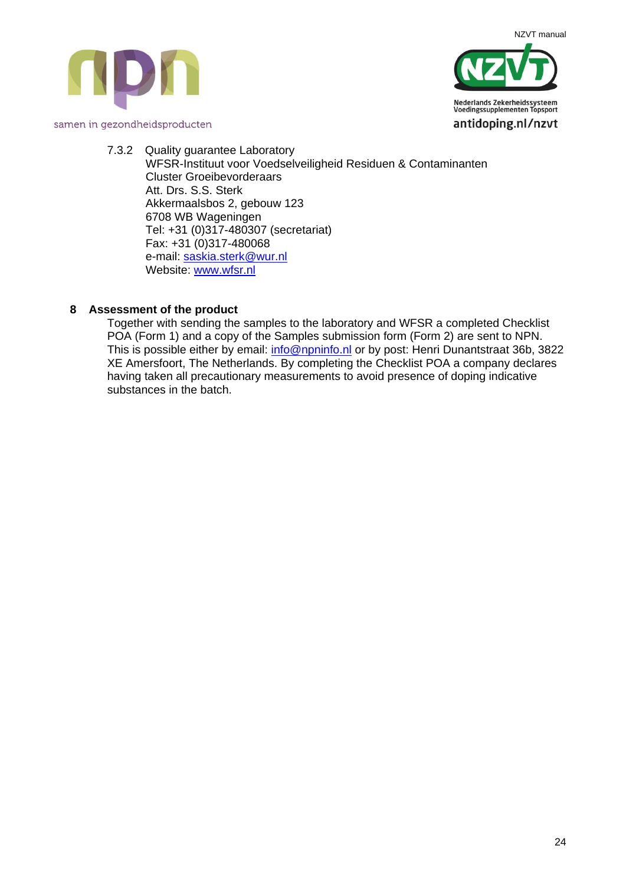



7.3.2 Quality guarantee Laboratory WFSR-Instituut voor Voedselveiligheid Residuen & Contaminanten Cluster Groeibevorderaars Att. Drs. S.S. Sterk Akkermaalsbos 2, gebouw 123 6708 WB Wageningen Tel: +31 (0)317-480307 (secretariat) Fax: +31 (0)317-480068 e-mail: [saskia.sterk@wur.nl](mailto:saskia.sterk@wur.nl) Website: [www.wfsr.nl](http://www.wfsr.nl/)

# **8 Assessment of the product**

Together with sending the samples to the laboratory and WFSR a completed Checklist POA (Form 1) and a copy of the Samples submission form (Form 2) are sent to NPN. This is possible either by email: [info@npninfo.nl](mailto:info@npninfo.nl) or by post: Henri Dunantstraat 36b, 3822 XE Amersfoort, The Netherlands. By completing the Checklist POA a company declares having taken all precautionary measurements to avoid presence of doping indicative substances in the batch.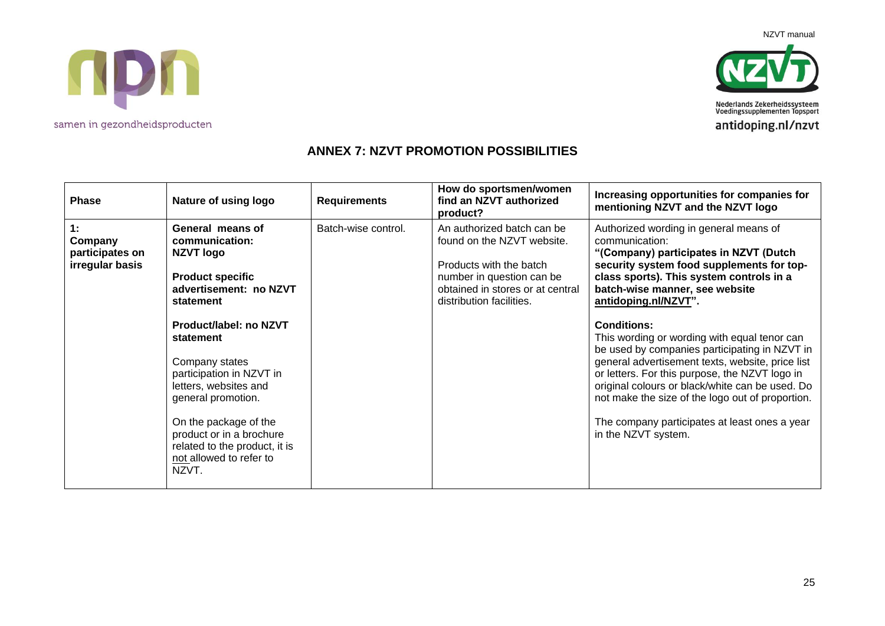NZVT manual





Nederlands Zekerheidssysteem<br>Voedingssupplementen Topsport antidoping.nl/nzvt

# **ANNEX 7: NZVT PROMOTION POSSIBILITIES**

| <b>Phase</b>                                        | Nature of using logo                                                                                                                                                                                                                                                                                                                                                                   | <b>Requirements</b> | How do sportsmen/women<br>find an NZVT authorized<br>product?                                                                                                                    | Increasing opportunities for companies for<br>mentioning NZVT and the NZVT logo                                                                                                                                                                                                                                                                                                                                                                                                                                                                                                                                                                                   |
|-----------------------------------------------------|----------------------------------------------------------------------------------------------------------------------------------------------------------------------------------------------------------------------------------------------------------------------------------------------------------------------------------------------------------------------------------------|---------------------|----------------------------------------------------------------------------------------------------------------------------------------------------------------------------------|-------------------------------------------------------------------------------------------------------------------------------------------------------------------------------------------------------------------------------------------------------------------------------------------------------------------------------------------------------------------------------------------------------------------------------------------------------------------------------------------------------------------------------------------------------------------------------------------------------------------------------------------------------------------|
| 1:<br>Company<br>participates on<br>irregular basis | General means of<br>communication:<br>NZVT logo<br><b>Product specific</b><br>advertisement: no NZVT<br>statement<br><b>Product/label: no NZVT</b><br>statement<br>Company states<br>participation in NZVT in<br>letters, websites and<br>general promotion.<br>On the package of the<br>product or in a brochure<br>related to the product, it is<br>not allowed to refer to<br>NZVT. | Batch-wise control. | An authorized batch can be<br>found on the NZVT website.<br>Products with the batch<br>number in question can be<br>obtained in stores or at central<br>distribution facilities. | Authorized wording in general means of<br>communication:<br>"(Company) participates in NZVT (Dutch<br>security system food supplements for top-<br>class sports). This system controls in a<br>batch-wise manner, see website<br>antidoping.nl/NZVT".<br><b>Conditions:</b><br>This wording or wording with equal tenor can<br>be used by companies participating in NZVT in<br>general advertisement texts, website, price list<br>or letters. For this purpose, the NZVT logo in<br>original colours or black/white can be used. Do<br>not make the size of the logo out of proportion.<br>The company participates at least ones a year<br>in the NZVT system. |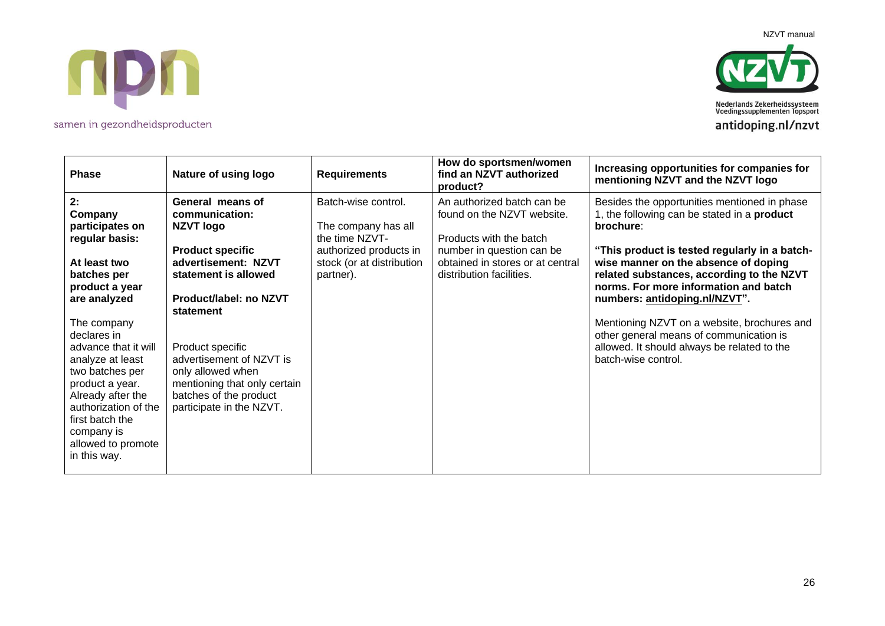TIPM

NZVT manual

Nederlands Zekerheidssysteem<br>Voedingssupplementen Topsport antidoping.nl/nzvt

| Phase                                                                                                                                                                                                                            | Nature of using logo                                                                                                                                    | <b>Requirements</b>                                                                                                 | How do sportsmen/women<br>find an NZVT authorized<br>product?                                                                                        | Increasing opportunities for companies for<br>mentioning NZVT and the NZVT logo                                                                                                                          |
|----------------------------------------------------------------------------------------------------------------------------------------------------------------------------------------------------------------------------------|---------------------------------------------------------------------------------------------------------------------------------------------------------|---------------------------------------------------------------------------------------------------------------------|------------------------------------------------------------------------------------------------------------------------------------------------------|----------------------------------------------------------------------------------------------------------------------------------------------------------------------------------------------------------|
| 2:<br>Company<br>participates on<br>regular basis:<br>At least two                                                                                                                                                               | General means of<br>communication:<br><b>NZVT logo</b><br><b>Product specific</b><br>advertisement: NZVT                                                | Batch-wise control.<br>The company has all<br>the time NZVT-<br>authorized products in<br>stock (or at distribution | An authorized batch can be<br>found on the NZVT website.<br>Products with the batch<br>number in question can be<br>obtained in stores or at central | Besides the opportunities mentioned in phase<br>1, the following can be stated in a <b>product</b><br>brochure:<br>"This product is tested regularly in a batch-<br>wise manner on the absence of doping |
| batches per<br>product a year<br>are analyzed                                                                                                                                                                                    | statement is allowed<br>Product/label: no NZVT<br>statement                                                                                             | partner).                                                                                                           | distribution facilities.                                                                                                                             | related substances, according to the NZVT<br>norms. For more information and batch<br>numbers: antidoping.nl/NZVT".                                                                                      |
| The company<br>declares in<br>advance that it will<br>analyze at least<br>two batches per<br>product a year.<br>Already after the<br>authorization of the<br>first batch the<br>company is<br>allowed to promote<br>in this way. | Product specific<br>advertisement of NZVT is<br>only allowed when<br>mentioning that only certain<br>batches of the product<br>participate in the NZVT. |                                                                                                                     |                                                                                                                                                      | Mentioning NZVT on a website, brochures and<br>other general means of communication is<br>allowed. It should always be related to the<br>batch-wise control.                                             |

samen in gezondheidsproducten